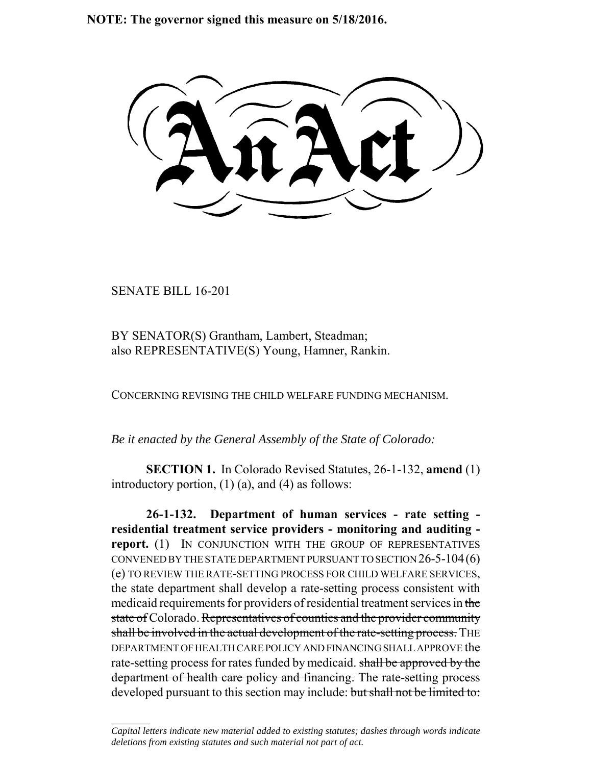**NOTE: The governor signed this measure on 5/18/2016.**

SENATE BILL 16-201

 $\frac{1}{2}$ 

BY SENATOR(S) Grantham, Lambert, Steadman; also REPRESENTATIVE(S) Young, Hamner, Rankin.

CONCERNING REVISING THE CHILD WELFARE FUNDING MECHANISM.

*Be it enacted by the General Assembly of the State of Colorado:*

**SECTION 1.** In Colorado Revised Statutes, 26-1-132, **amend** (1) introductory portion, (1) (a), and (4) as follows:

**26-1-132. Department of human services - rate setting residential treatment service providers - monitoring and auditing report.** (1) IN CONJUNCTION WITH THE GROUP OF REPRESENTATIVES CONVENED BY THE STATE DEPARTMENT PURSUANT TO SECTION 26-5-104(6) (e) TO REVIEW THE RATE-SETTING PROCESS FOR CHILD WELFARE SERVICES, the state department shall develop a rate-setting process consistent with medicaid requirements for providers of residential treatment services in the state of Colorado. Representatives of counties and the provider community shall be involved in the actual development of the rate-setting process. THE DEPARTMENT OF HEALTH CARE POLICY AND FINANCING SHALL APPROVE the rate-setting process for rates funded by medicaid. shall be approved by the department of health care policy and financing. The rate-setting process developed pursuant to this section may include: but shall not be limited to:

*Capital letters indicate new material added to existing statutes; dashes through words indicate deletions from existing statutes and such material not part of act.*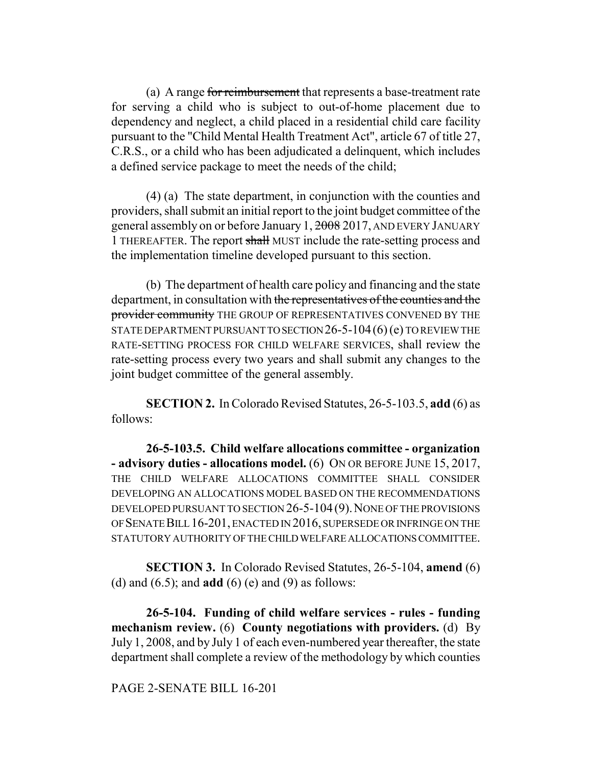(a) A range for reimbursement that represents a base-treatment rate for serving a child who is subject to out-of-home placement due to dependency and neglect, a child placed in a residential child care facility pursuant to the "Child Mental Health Treatment Act", article 67 of title 27, C.R.S., or a child who has been adjudicated a delinquent, which includes a defined service package to meet the needs of the child;

(4) (a) The state department, in conjunction with the counties and providers, shall submit an initial report to the joint budget committee of the general assembly on or before January 1, 2008 2017, AND EVERY JANUARY 1 THEREAFTER. The report shall MUST include the rate-setting process and the implementation timeline developed pursuant to this section.

(b) The department of health care policy and financing and the state department, in consultation with the representatives of the counties and the provider community THE GROUP OF REPRESENTATIVES CONVENED BY THE STATE DEPARTMENT PURSUANT TO SECTION 26-5-104(6) (e) TO REVIEW THE RATE-SETTING PROCESS FOR CHILD WELFARE SERVICES, shall review the rate-setting process every two years and shall submit any changes to the joint budget committee of the general assembly.

**SECTION 2.** In Colorado Revised Statutes, 26-5-103.5, **add** (6) as follows:

**26-5-103.5. Child welfare allocations committee - organization - advisory duties - allocations model.** (6) ON OR BEFORE JUNE 15, 2017, THE CHILD WELFARE ALLOCATIONS COMMITTEE SHALL CONSIDER DEVELOPING AN ALLOCATIONS MODEL BASED ON THE RECOMMENDATIONS DEVELOPED PURSUANT TO SECTION  $26$ -5-104(9). NONE OF THE PROVISIONS OF SENATE BILL 16-201, ENACTED IN 2016, SUPERSEDE OR INFRINGE ON THE STATUTORY AUTHORITY OF THE CHILD WELFARE ALLOCATIONS COMMITTEE.

**SECTION 3.** In Colorado Revised Statutes, 26-5-104, **amend** (6) (d) and (6.5); and **add** (6) (e) and (9) as follows:

**26-5-104. Funding of child welfare services - rules - funding mechanism review.** (6) **County negotiations with providers.** (d) By July 1, 2008, and by July 1 of each even-numbered year thereafter, the state department shall complete a review of the methodology by which counties

## PAGE 2-SENATE BILL 16-201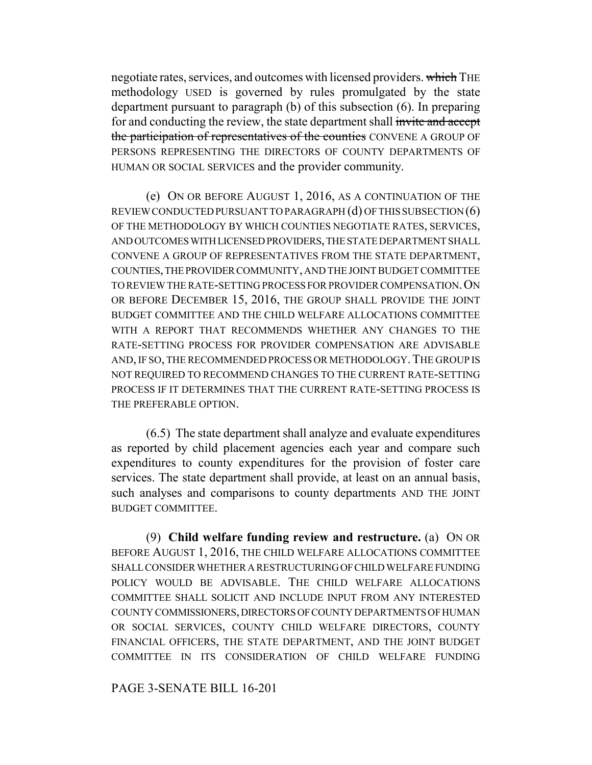negotiate rates, services, and outcomes with licensed providers. which THE methodology USED is governed by rules promulgated by the state department pursuant to paragraph (b) of this subsection (6). In preparing for and conducting the review, the state department shall invite and accept the participation of representatives of the counties CONVENE A GROUP OF PERSONS REPRESENTING THE DIRECTORS OF COUNTY DEPARTMENTS OF HUMAN OR SOCIAL SERVICES and the provider community.

(e) ON OR BEFORE AUGUST 1, 2016, AS A CONTINUATION OF THE REVIEW CONDUCTED PURSUANT TO PARAGRAPH (d) OF THIS SUBSECTION (6) OF THE METHODOLOGY BY WHICH COUNTIES NEGOTIATE RATES, SERVICES, AND OUTCOMES WITH LICENSED PROVIDERS, THE STATE DEPARTMENT SHALL CONVENE A GROUP OF REPRESENTATIVES FROM THE STATE DEPARTMENT, COUNTIES, THE PROVIDER COMMUNITY, AND THE JOINT BUDGET COMMITTEE TO REVIEW THE RATE-SETTING PROCESS FOR PROVIDER COMPENSATION.ON OR BEFORE DECEMBER 15, 2016, THE GROUP SHALL PROVIDE THE JOINT BUDGET COMMITTEE AND THE CHILD WELFARE ALLOCATIONS COMMITTEE WITH A REPORT THAT RECOMMENDS WHETHER ANY CHANGES TO THE RATE-SETTING PROCESS FOR PROVIDER COMPENSATION ARE ADVISABLE AND, IF SO, THE RECOMMENDED PROCESS OR METHODOLOGY.THE GROUP IS NOT REQUIRED TO RECOMMEND CHANGES TO THE CURRENT RATE-SETTING PROCESS IF IT DETERMINES THAT THE CURRENT RATE-SETTING PROCESS IS THE PREFERABLE OPTION.

(6.5) The state department shall analyze and evaluate expenditures as reported by child placement agencies each year and compare such expenditures to county expenditures for the provision of foster care services. The state department shall provide, at least on an annual basis, such analyses and comparisons to county departments AND THE JOINT BUDGET COMMITTEE.

(9) **Child welfare funding review and restructure.** (a) ON OR BEFORE AUGUST 1, 2016, THE CHILD WELFARE ALLOCATIONS COMMITTEE SHALL CONSIDER WHETHER A RESTRUCTURING OF CHILD WELFARE FUNDING POLICY WOULD BE ADVISABLE. THE CHILD WELFARE ALLOCATIONS COMMITTEE SHALL SOLICIT AND INCLUDE INPUT FROM ANY INTERESTED COUNTY COMMISSIONERS, DIRECTORS OF COUNTY DEPARTMENTS OF HUMAN OR SOCIAL SERVICES, COUNTY CHILD WELFARE DIRECTORS, COUNTY FINANCIAL OFFICERS, THE STATE DEPARTMENT, AND THE JOINT BUDGET COMMITTEE IN ITS CONSIDERATION OF CHILD WELFARE FUNDING

PAGE 3-SENATE BILL 16-201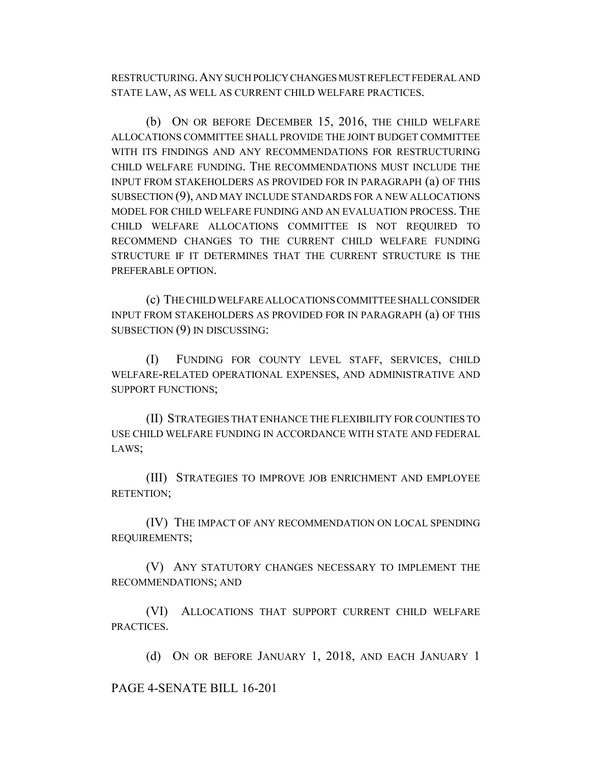RESTRUCTURING.ANY SUCH POLICY CHANGES MUST REFLECT FEDERAL AND STATE LAW, AS WELL AS CURRENT CHILD WELFARE PRACTICES.

(b) ON OR BEFORE DECEMBER 15, 2016, THE CHILD WELFARE ALLOCATIONS COMMITTEE SHALL PROVIDE THE JOINT BUDGET COMMITTEE WITH ITS FINDINGS AND ANY RECOMMENDATIONS FOR RESTRUCTURING CHILD WELFARE FUNDING. THE RECOMMENDATIONS MUST INCLUDE THE INPUT FROM STAKEHOLDERS AS PROVIDED FOR IN PARAGRAPH (a) OF THIS SUBSECTION (9), AND MAY INCLUDE STANDARDS FOR A NEW ALLOCATIONS MODEL FOR CHILD WELFARE FUNDING AND AN EVALUATION PROCESS. THE CHILD WELFARE ALLOCATIONS COMMITTEE IS NOT REQUIRED TO RECOMMEND CHANGES TO THE CURRENT CHILD WELFARE FUNDING STRUCTURE IF IT DETERMINES THAT THE CURRENT STRUCTURE IS THE PREFERABLE OPTION.

(c) THE CHILD WELFARE ALLOCATIONS COMMITTEE SHALL CONSIDER INPUT FROM STAKEHOLDERS AS PROVIDED FOR IN PARAGRAPH (a) OF THIS SUBSECTION (9) IN DISCUSSING:

(I) FUNDING FOR COUNTY LEVEL STAFF, SERVICES, CHILD WELFARE-RELATED OPERATIONAL EXPENSES, AND ADMINISTRATIVE AND SUPPORT FUNCTIONS;

(II) STRATEGIES THAT ENHANCE THE FLEXIBILITY FOR COUNTIES TO USE CHILD WELFARE FUNDING IN ACCORDANCE WITH STATE AND FEDERAL LAWS;

(III) STRATEGIES TO IMPROVE JOB ENRICHMENT AND EMPLOYEE RETENTION;

(IV) THE IMPACT OF ANY RECOMMENDATION ON LOCAL SPENDING REQUIREMENTS;

(V) ANY STATUTORY CHANGES NECESSARY TO IMPLEMENT THE RECOMMENDATIONS; AND

(VI) ALLOCATIONS THAT SUPPORT CURRENT CHILD WELFARE PRACTICES.

(d) ON OR BEFORE JANUARY 1, 2018, AND EACH JANUARY 1

PAGE 4-SENATE BILL 16-201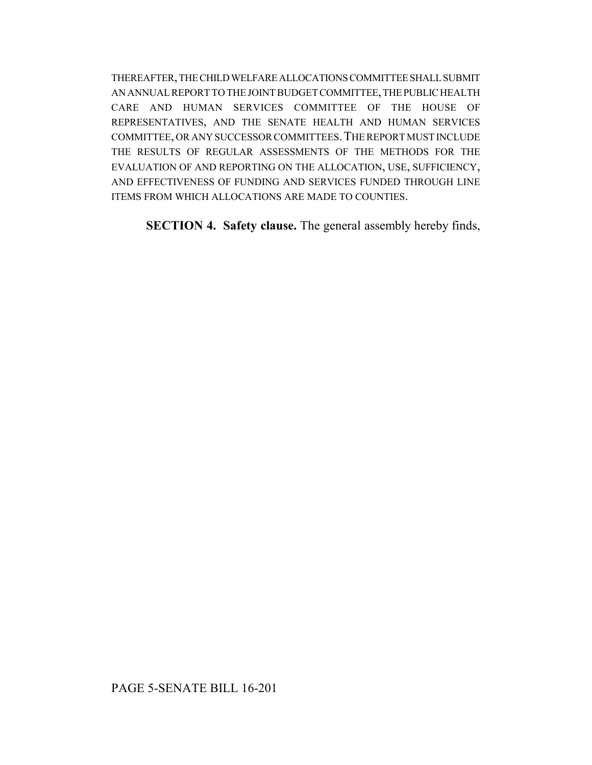THEREAFTER, THE CHILD WELFARE ALLOCATIONS COMMITTEE SHALL SUBMIT AN ANNUAL REPORT TO THE JOINT BUDGET COMMITTEE, THE PUBLIC HEALTH CARE AND HUMAN SERVICES COMMITTEE OF THE HOUSE OF REPRESENTATIVES, AND THE SENATE HEALTH AND HUMAN SERVICES COMMITTEE, OR ANY SUCCESSOR COMMITTEES.THE REPORT MUST INCLUDE THE RESULTS OF REGULAR ASSESSMENTS OF THE METHODS FOR THE EVALUATION OF AND REPORTING ON THE ALLOCATION, USE, SUFFICIENCY, AND EFFECTIVENESS OF FUNDING AND SERVICES FUNDED THROUGH LINE ITEMS FROM WHICH ALLOCATIONS ARE MADE TO COUNTIES.

**SECTION 4. Safety clause.** The general assembly hereby finds,